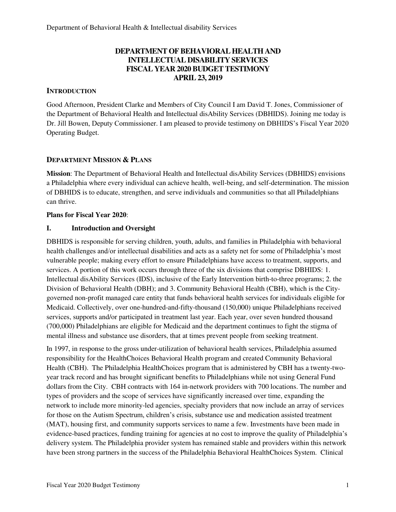# **DEPARTMENT OF BEHAVIORAL HEALTH AND INTELLECTUAL DISABILITY SERVICES FISCAL YEAR 2020 BUDGET TESTIMONY APRIL 23, 2019**

# **INTRODUCTION**

Good Afternoon, President Clarke and Members of City Council I am David T. Jones, Commissioner of the Department of Behavioral Health and Intellectual disAbility Services (DBHIDS). Joining me today is Dr. Jill Bowen, Deputy Commissioner. I am pleased to provide testimony on DBHIDS's Fiscal Year 2020 Operating Budget.

# **DEPARTMENT MISSION & PLANS**

**Mission**: The Department of Behavioral Health and Intellectual disAbility Services (DBHIDS) envisions a Philadelphia where every individual can achieve health, well-being, and self-determination. The mission of DBHIDS is to educate, strengthen, and serve individuals and communities so that all Philadelphians can thrive.

# **Plans for Fiscal Year 2020**:

# **I. Introduction and Oversight**

DBHIDS is responsible for serving children, youth, adults, and families in Philadelphia with behavioral health challenges and/or intellectual disabilities and acts as a safety net for some of Philadelphia's most vulnerable people; making every effort to ensure Philadelphians have access to treatment, supports, and services. A portion of this work occurs through three of the six divisions that comprise DBHIDS: 1. Intellectual disAbility Services (IDS), inclusive of the Early Intervention birth-to-three programs; 2. the Division of Behavioral Health (DBH); and 3. Community Behavioral Health (CBH), which is the Citygoverned non-profit managed care entity that funds behavioral health services for individuals eligible for Medicaid. Collectively, over one-hundred-and-fifty-thousand (150,000) unique Philadelphians received services, supports and/or participated in treatment last year. Each year, over seven hundred thousand (700,000) Philadelphians are eligible for Medicaid and the department continues to fight the stigma of mental illness and substance use disorders, that at times prevent people from seeking treatment.

In 1997, in response to the gross under-utilization of behavioral health services, Philadelphia assumed responsibility for the HealthChoices Behavioral Health program and created Community Behavioral Health (CBH). The Philadelphia HealthChoices program that is administered by CBH has a twenty-twoyear track record and has brought significant benefits to Philadelphians while not using General Fund dollars from the City. CBH contracts with 164 in-network providers with 700 locations. The number and types of providers and the scope of services have significantly increased over time, expanding the network to include more minority-led agencies, specialty providers that now include an array of services for those on the Autism Spectrum, children's crisis, substance use and medication assisted treatment (MAT), housing first, and community supports services to name a few. Investments have been made in evidence-based practices, funding training for agencies at no cost to improve the quality of Philadelphia's delivery system. The Philadelphia provider system has remained stable and providers within this network have been strong partners in the success of the Philadelphia Behavioral HealthChoices System. Clinical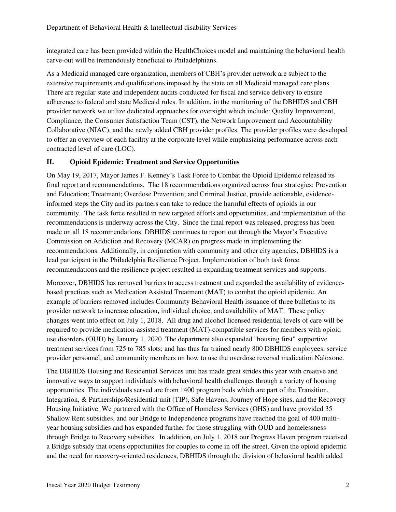integrated care has been provided within the HealthChoices model and maintaining the behavioral health carve-out will be tremendously beneficial to Philadelphians.

As a Medicaid managed care organization, members of CBH's provider network are subject to the extensive requirements and qualifications imposed by the state on all Medicaid managed care plans. There are regular state and independent audits conducted for fiscal and service delivery to ensure adherence to federal and state Medicaid rules. In addition, in the monitoring of the DBHIDS and CBH provider network we utilize dedicated approaches for oversight which include: Quality Improvement, Compliance, the Consumer Satisfaction Team (CST), the Network Improvement and Accountability Collaborative (NIAC), and the newly added CBH provider profiles. The provider profiles were developed to offer an overview of each facility at the corporate level while emphasizing performance across each contracted level of care (LOC).

# **II. Opioid Epidemic: Treatment and Service Opportunities**

On May 19, 2017, Mayor James F. Kenney's Task Force to Combat the Opioid Epidemic released its final report and recommendations. The 18 recommendations organized across four strategies: Prevention and Education; Treatment; Overdose Prevention; and Criminal Justice, provide actionable, evidenceinformed steps the City and its partners can take to reduce the harmful effects of opioids in our community. The task force resulted in new targeted efforts and opportunities, and implementation of the recommendations is underway across the City. Since the final report was released, progress has been made on all 18 recommendations. DBHIDS continues to report out through the Mayor's Executive Commission on Addiction and Recovery (MCAR) on progress made in implementing the recommendations. Additionally, in conjunction with community and other city agencies, DBHIDS is a lead participant in the Philadelphia Resilience Project. Implementation of both task force recommendations and the resilience project resulted in expanding treatment services and supports.

Moreover, DBHIDS has removed barriers to access treatment and expanded the availability of evidencebased practices such as Medication Assisted Treatment (MAT) to combat the opioid epidemic. An example of barriers removed includes Community Behavioral Health issuance of three bulletins to its provider network to increase education, individual choice, and availability of MAT. These policy changes went into effect on July 1, 2018. All drug and alcohol licensed residential levels of care will be required to provide medication-assisted treatment (MAT)-compatible services for members with opioid use disorders (OUD) by January 1, 2020. The department also expanded "housing first" supportive treatment services from 725 to 785 slots; and has thus far trained nearly 800 DBHIDS employees, service provider personnel, and community members on how to use the overdose reversal medication Naloxone.

The DBHIDS Housing and Residential Services unit has made great strides this year with creative and innovative ways to support individuals with behavioral health challenges through a variety of housing opportunities. The individuals served are from 1400 program beds which are part of the Transition, Integration, & Partnerships/Residential unit (TIP), Safe Havens, Journey of Hope sites, and the Recovery Housing Initiative. We partnered with the Office of Homeless Services (OHS) and have provided 35 Shallow Rent subsidies, and our Bridge to Independence programs have reached the goal of 400 multiyear housing subsidies and has expanded further for those struggling with OUD and homelessness through Bridge to Recovery subsidies. In addition, on July 1, 2018 our Progress Haven program received a Bridge subsidy that opens opportunities for couples to come in off the street. Given the opioid epidemic and the need for recovery-oriented residences, DBHIDS through the division of behavioral health added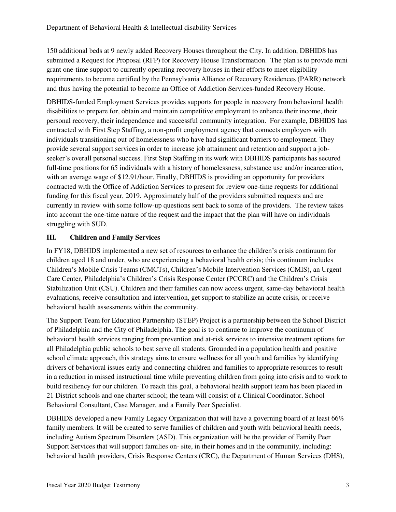150 additional beds at 9 newly added Recovery Houses throughout the City. In addition, DBHIDS has submitted a Request for Proposal (RFP) for Recovery House Transformation. The plan is to provide mini grant one-time support to currently operating recovery houses in their efforts to meet eligibility requirements to become certified by the Pennsylvania Alliance of Recovery Residences (PARR) network and thus having the potential to become an Office of Addiction Services-funded Recovery House.

DBHIDS-funded Employment Services provides supports for people in recovery from behavioral health disabilities to prepare for, obtain and maintain competitive employment to enhance their income, their personal recovery, their independence and successful community integration. For example, DBHIDS has contracted with First Step Staffing, a non-profit employment agency that connects employers with individuals transitioning out of homelessness who have had significant barriers to employment. They provide several support services in order to increase job attainment and retention and support a jobseeker's overall personal success. First Step Staffing in its work with DBHIDS participants has secured full-time positions for 65 individuals with a history of homelessness, substance use and/or incarceration, with an average wage of \$12.91/hour. Finally, DBHIDS is providing an opportunity for providers contracted with the Office of Addiction Services to present for review one-time requests for additional funding for this fiscal year, 2019. Approximately half of the providers submitted requests and are currently in review with some follow-up questions sent back to some of the providers. The review takes into account the one-time nature of the request and the impact that the plan will have on individuals struggling with SUD.

# **III. Children and Family Services**

In FY18, DBHIDS implemented a new set of resources to enhance the children's crisis continuum for children aged 18 and under, who are experiencing a behavioral health crisis; this continuum includes Children's Mobile Crisis Teams (CMCTs), Children's Mobile Intervention Services (CMIS), an Urgent Care Center, Philadelphia's Children's Crisis Response Center (PCCRC) and the Children's Crisis Stabilization Unit (CSU). Children and their families can now access urgent, same-day behavioral health evaluations, receive consultation and intervention, get support to stabilize an acute crisis, or receive behavioral health assessments within the community.

The Support Team for Education Partnership (STEP) Project is a partnership between the School District of Philadelphia and the City of Philadelphia. The goal is to continue to improve the continuum of behavioral health services ranging from prevention and at-risk services to intensive treatment options for all Philadelphia public schools to best serve all students. Grounded in a population health and positive school climate approach, this strategy aims to ensure wellness for all youth and families by identifying drivers of behavioral issues early and connecting children and families to appropriate resources to result in a reduction in missed instructional time while preventing children from going into crisis and to work to build resiliency for our children. To reach this goal, a behavioral health support team has been placed in 21 District schools and one charter school; the team will consist of a Clinical Coordinator, School Behavioral Consultant, Case Manager, and a Family Peer Specialist.

DBHIDS developed a new Family Legacy Organization that will have a governing board of at least 66% family members. It will be created to serve families of children and youth with behavioral health needs, including Autism Spectrum Disorders (ASD). This organization will be the provider of Family Peer Support Services that will support families on- site, in their homes and in the community, including: behavioral health providers, Crisis Response Centers (CRC), the Department of Human Services (DHS),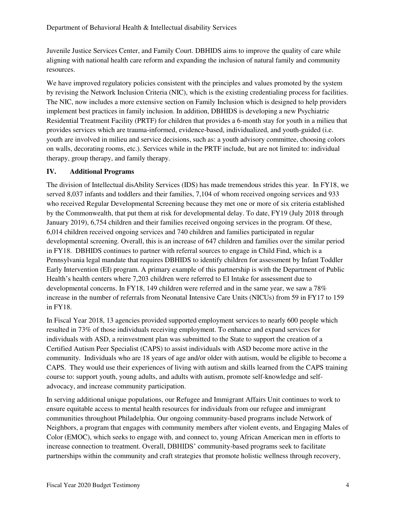Juvenile Justice Services Center, and Family Court. DBHIDS aims to improve the quality of care while aligning with national health care reform and expanding the inclusion of natural family and community resources.

We have improved regulatory policies consistent with the principles and values promoted by the system by revising the Network Inclusion Criteria (NIC), which is the existing credentialing process for facilities. The NIC, now includes a more extensive section on Family Inclusion which is designed to help providers implement best practices in family inclusion. In addition, DBHIDS is developing a new Psychiatric Residential Treatment Facility (PRTF) for children that provides a 6-month stay for youth in a milieu that provides services which are trauma-informed, evidence-based, individualized, and youth-guided (i.e. youth are involved in milieu and service decisions, such as: a youth advisory committee, choosing colors on walls, decorating rooms, etc.). Services while in the PRTF include, but are not limited to: individual therapy, group therapy, and family therapy.

# **IV. Additional Programs**

The division of Intellectual disAbility Services (IDS) has made tremendous strides this year. In FY18, we served 8,037 infants and toddlers and their families, 7,104 of whom received ongoing services and 933 who received Regular Developmental Screening because they met one or more of six criteria established by the Commonwealth, that put them at risk for developmental delay. To date, FY19 (July 2018 through January 2019), 6,754 children and their families received ongoing services in the program. Of these, 6,014 children received ongoing services and 740 children and families participated in regular developmental screening. Overall, this is an increase of 647 children and families over the similar period in FY18. DBHIDS continues to partner with referral sources to engage in Child Find, which is a Pennsylvania legal mandate that requires DBHIDS to identify children for assessment by Infant Toddler Early Intervention (EI) program. A primary example of this partnership is with the Department of Public Health's health centers where 7,203 children were referred to EI Intake for assessment due to developmental concerns. In FY18, 149 children were referred and in the same year, we saw a 78% increase in the number of referrals from Neonatal Intensive Care Units (NICUs) from 59 in FY17 to 159 in FY18.

In Fiscal Year 2018, 13 agencies provided supported employment services to nearly 600 people which resulted in 73% of those individuals receiving employment. To enhance and expand services for individuals with ASD, a reinvestment plan was submitted to the State to support the creation of a Certified Autism Peer Specialist (CAPS) to assist individuals with ASD become more active in the community. Individuals who are 18 years of age and/or older with autism, would be eligible to become a CAPS. They would use their experiences of living with autism and skills learned from the CAPS training course to: support youth, young adults, and adults with autism, promote self-knowledge and selfadvocacy, and increase community participation.

In serving additional unique populations, our Refugee and Immigrant Affairs Unit continues to work to ensure equitable access to mental health resources for individuals from our refugee and immigrant communities throughout Philadelphia. Our ongoing community-based programs include Network of Neighbors, a program that engages with community members after violent events, and Engaging Males of Color (EMOC), which seeks to engage with, and connect to, young African American men in efforts to increase connection to treatment. Overall, DBHIDS' community-based programs seek to facilitate partnerships within the community and craft strategies that promote holistic wellness through recovery,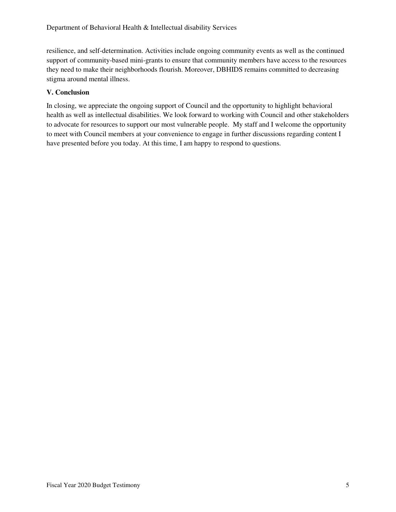resilience, and self-determination. Activities include ongoing community events as well as the continued support of community-based mini-grants to ensure that community members have access to the resources they need to make their neighborhoods flourish. Moreover, DBHIDS remains committed to decreasing stigma around mental illness.

# **V. Conclusion**

In closing, we appreciate the ongoing support of Council and the opportunity to highlight behavioral health as well as intellectual disabilities. We look forward to working with Council and other stakeholders to advocate for resources to support our most vulnerable people. My staff and I welcome the opportunity to meet with Council members at your convenience to engage in further discussions regarding content I have presented before you today. At this time, I am happy to respond to questions.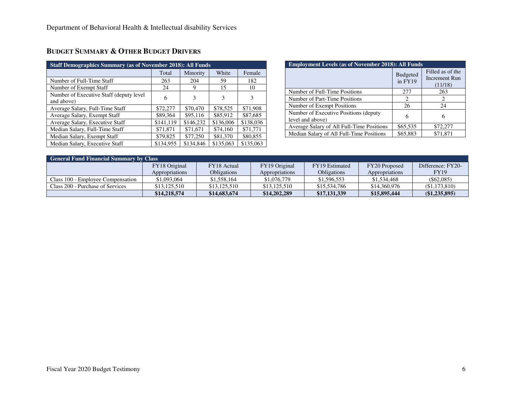| <b>Staff Demographics Summary (as of November 2018): All Funds</b> |           |           |           |           |  |  |  |  |
|--------------------------------------------------------------------|-----------|-----------|-----------|-----------|--|--|--|--|
|                                                                    | Total     | Minority  | White     | Female    |  |  |  |  |
| Number of Full-Time Staff                                          | 263       | 204       | 59        | 182       |  |  |  |  |
| Number of Exempt Staff                                             | 24        | 9         | 15        | 10        |  |  |  |  |
| Number of Executive Staff (deputy level)<br>and above)             | 6         | 3         | 3         | 3         |  |  |  |  |
| Average Salary, Full-Time Staff                                    | \$72,277  | \$70,470  | \$78,525  | \$71,908  |  |  |  |  |
| Average Salary, Exempt Staff                                       | \$89,364  | \$95,116  | \$85,912  | \$87,685  |  |  |  |  |
| Average Salary, Executive Staff                                    | \$141,119 | \$146,232 | \$136,006 | \$138,036 |  |  |  |  |
| Median Salary, Full-Time Staff                                     | \$71,871  | \$71,671  | \$74,160  | \$71.771  |  |  |  |  |
| Median Salary, Exempt Staff                                        | \$79,825  | \$77,250  | \$81,370  | \$80,855  |  |  |  |  |
| Median Salary, Executive Staff                                     | \$134,955 | \$134,846 | \$135,063 | \$135,063 |  |  |  |  |

|  | Budget Summary & Other Budget Drivers |
|--|---------------------------------------|
|--|---------------------------------------|

| <b>Employment Levels (as of November 2018): All Funds</b> |                            |                                              |  |  |  |  |
|-----------------------------------------------------------|----------------------------|----------------------------------------------|--|--|--|--|
|                                                           | <b>Budgeted</b><br>in FY19 | Filled as of the<br>Increment Run<br>(11/18) |  |  |  |  |
| Number of Full-Time Positions                             | 277                        | 263                                          |  |  |  |  |
| Number of Part-Time Positions                             | 2                          |                                              |  |  |  |  |
| Number of Exempt Positions                                | 26                         | 24                                           |  |  |  |  |
| Number of Executive Positions (deputy<br>level and above) | 6                          |                                              |  |  |  |  |
| Average Salary of All Full-Time Positions                 | \$65,535                   | \$72,277                                     |  |  |  |  |
| Median Salary of All Full-Time Positions                  | \$65,883                   | \$71,871                                     |  |  |  |  |

| <b>General Fund Financial Summary by Class</b> |                |                    |                |                    |                |                   |  |  |  |
|------------------------------------------------|----------------|--------------------|----------------|--------------------|----------------|-------------------|--|--|--|
|                                                | FY18 Original  | FY18 Actual        | FY19 Original  | FY19 Estimated     | FY20 Proposed  | Difference: FY20- |  |  |  |
|                                                | Appropriations | <b>Obligations</b> | Appropriations | <b>Obligations</b> | Appropriations | <b>FY19</b>       |  |  |  |
| Class 100 - Employee Compensation              | \$1,093,064    | \$1,558,164        | \$1,076,779    | \$1,596,553        | \$1,534,468    | $($ \$62,085)     |  |  |  |
| Class 200 - Purchase of Services               | \$13,125,510   | \$13,125,510       | \$13,125,510   | \$15,534,786       | \$14,360,976   | (S1, 173, 810)    |  |  |  |
|                                                | \$14,218,574   | \$14,683,674       | \$14,202,289   | \$17,131,339       | \$15,895,444   | (\$1,235,895)     |  |  |  |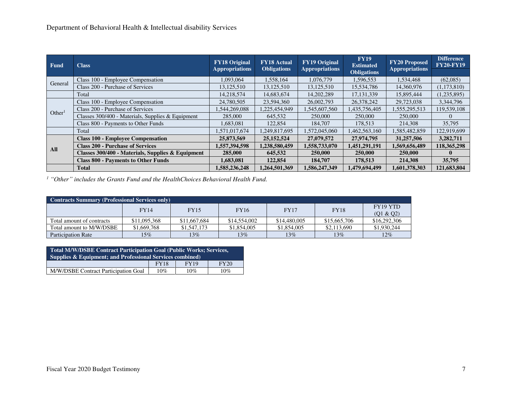| Fund               | <b>Class</b>                                      | <b>FY18 Original</b><br><b>Appropriations</b> | <b>FY18 Actual</b><br><b>Obligations</b> | <b>FY19 Original</b><br><b>Appropriations</b> | <b>FY19</b><br><b>Estimated</b> | <b>FY20 Proposed</b><br><b>Appropriations</b> | <b>Difference</b><br><b>FY20-FY19</b> |
|--------------------|---------------------------------------------------|-----------------------------------------------|------------------------------------------|-----------------------------------------------|---------------------------------|-----------------------------------------------|---------------------------------------|
|                    |                                                   |                                               |                                          |                                               | <b>Obligations</b>              |                                               |                                       |
|                    | Class 100 - Employee Compensation                 | 1,093,064                                     | 1,558,164                                | 1.076.779                                     | 1,596,553                       | 1,534,468                                     | (62,085)                              |
| General            | Class 200 - Purchase of Services                  | 13,125,510                                    | 13,125,510                               | 13,125,510                                    | 15,534,786                      | 14,360,976                                    | (1,173,810)                           |
|                    | Total                                             | 14.218.574                                    | 14,683,674                               | 14.202.289                                    | 17, 131, 339                    | 15,895,444                                    | (1,235,895)                           |
|                    | Class 100 - Employee Compensation                 | 24,780,505                                    | 23,594,360                               | 26,002,793                                    | 26,378,242                      | 29,723,038                                    | 3,344,796                             |
| Other <sup>1</sup> | Class 200 - Purchase of Services                  | 1,544,269,088                                 | 1,225,454,949                            | 1,545,607,560                                 | 1,435,756,405                   | 1,555,295,513                                 | 119,539,108                           |
|                    | Classes 300/400 - Materials, Supplies & Equipment | 285,000                                       | 645,532                                  | 250,000                                       | 250,000                         | 250,000                                       |                                       |
|                    | Class 800 - Payments to Other Funds               | 1,683,081                                     | 122,854                                  | 184,707                                       | 178,513                         | 214,308                                       | 35,795                                |
|                    | Total                                             | 1,571,017,674                                 | 1,249,817,695                            | 1,572,045,060                                 | 1,462,563,160                   | 1,585,482,859                                 | 122,919,699                           |
|                    | <b>Class 100 - Employee Compensation</b>          | 25,873,569                                    | 25, 152, 524                             | 27,079,572                                    | 27.974.795                      | 31,257,506                                    | 3,282,711                             |
| All                | <b>Class 200 - Purchase of Services</b>           | 1,557,394,598                                 | 1,238,580,459                            | 1,558,733,070                                 | 1,451,291,191                   | 1,569,656,489                                 | 118,365,298                           |
|                    | Classes 300/400 - Materials, Supplies & Equipment | 285,000                                       | 645,532                                  | 250,000                                       | 250,000                         | 250,000                                       | $\mathbf{0}$                          |
|                    | <b>Class 800 - Payments to Other Funds</b>        | 1,683,081                                     | 122,854                                  | 184,707                                       | 178,513                         | 214,308                                       | 35,795                                |
|                    | <b>Total</b>                                      | 1,585,236,248                                 | 1,264,501,369                            | 1,586,247,349                                 | 1,479,694,499                   | 1,601,378,303                                 | 121,683,804                           |

*<sup>1</sup> "Other" includes the Grants Fund and the HealthChoices Behavioral Health Fund.* 

| <b>Contracts Summary (Professional Services only)</b> |              |              |              |              |              |                                               |  |  |  |
|-------------------------------------------------------|--------------|--------------|--------------|--------------|--------------|-----------------------------------------------|--|--|--|
|                                                       | <b>FY14</b>  | <b>FY15</b>  | <b>FY16</b>  | <b>FY17</b>  | <b>FY18</b>  | FY <sub>19</sub> Y <sub>TD</sub><br>(01 & 02) |  |  |  |
| Total amount of contracts                             | \$11,095,368 | \$11,667,684 | \$14,554,002 | \$14,480,005 | \$15,665,706 | \$16,292,306                                  |  |  |  |
| Total amount to M/W/DSBE                              | \$1,669,768  | \$1,547,173  | \$1,854,005  | \$1,854,005  | \$2,113,690  | \$1,930,244                                   |  |  |  |
| <b>Participation Rate</b>                             | 15%          | 13%          | 13%          | 13%          | 13%          | 12%                                           |  |  |  |

| <b>Total M/W/DSBE Contract Participation Goal (Public Works; Services,</b><br><b>Supplies &amp; Equipment: and Professional Services combined)</b> |             |      |             |  |  |  |  |
|----------------------------------------------------------------------------------------------------------------------------------------------------|-------------|------|-------------|--|--|--|--|
|                                                                                                                                                    | <b>FY18</b> | FY19 | <b>FY20</b> |  |  |  |  |
| M/W/DSBE Contract Participation Goal<br>10%<br>10%<br>$10\%$                                                                                       |             |      |             |  |  |  |  |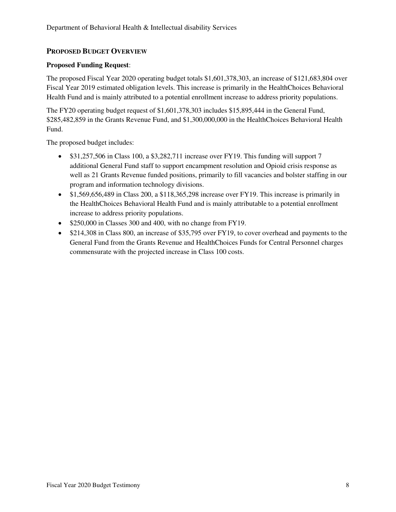# **PROPOSED BUDGET OVERVIEW**

# **Proposed Funding Request**:

The proposed Fiscal Year 2020 operating budget totals \$1,601,378,303, an increase of \$121,683,804 over Fiscal Year 2019 estimated obligation levels. This increase is primarily in the HealthChoices Behavioral Health Fund and is mainly attributed to a potential enrollment increase to address priority populations.

The FY20 operating budget request of \$1,601,378,303 includes \$15,895,444 in the General Fund, \$285,482,859 in the Grants Revenue Fund, and \$1,300,000,000 in the HealthChoices Behavioral Health Fund.

The proposed budget includes:

- \$31,257,506 in Class 100, a \$3,282,711 increase over FY19. This funding will support 7 additional General Fund staff to support encampment resolution and Opioid crisis response as well as 21 Grants Revenue funded positions, primarily to fill vacancies and bolster staffing in our program and information technology divisions.
- \$1,569,656,489 in Class 200, a \$118,365,298 increase over FY19. This increase is primarily in the HealthChoices Behavioral Health Fund and is mainly attributable to a potential enrollment increase to address priority populations.
- \$250,000 in Classes 300 and 400, with no change from FY19.
- \$214,308 in Class 800, an increase of \$35,795 over FY19, to cover overhead and payments to the General Fund from the Grants Revenue and HealthChoices Funds for Central Personnel charges commensurate with the projected increase in Class 100 costs.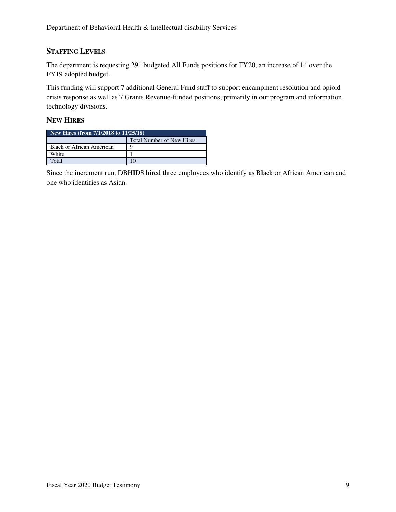# **STAFFING LEVELS**

The department is requesting 291 budgeted All Funds positions for FY20, an increase of 14 over the FY19 adopted budget.

This funding will support 7 additional General Fund staff to support encampment resolution and opioid crisis response as well as 7 Grants Revenue-funded positions, primarily in our program and information technology divisions.

# **NEW HIRES**

| New Hires (from 7/1/2018 to 11/25/18) |   |  |  |  |  |
|---------------------------------------|---|--|--|--|--|
| <b>Total Number of New Hires</b>      |   |  |  |  |  |
| Black or African American             | O |  |  |  |  |
| White                                 |   |  |  |  |  |
| Total                                 |   |  |  |  |  |

Since the increment run, DBHIDS hired three employees who identify as Black or African American and one who identifies as Asian.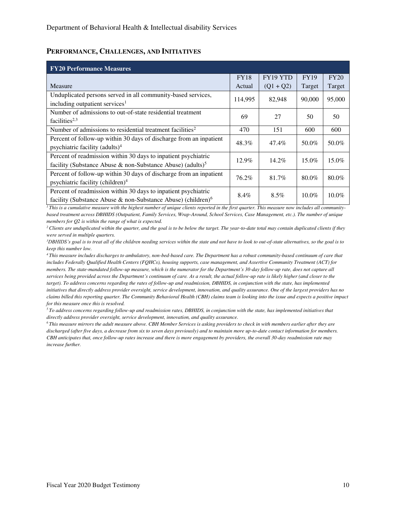#### **PERFORMANCE, CHALLENGES, AND INITIATIVES**

| <b>FY20 Performance Measures</b>                                         |             |             |             |          |
|--------------------------------------------------------------------------|-------------|-------------|-------------|----------|
|                                                                          | <b>FY18</b> | FY19 YTD    | <b>FY19</b> | FY20     |
| Measure                                                                  | Actual      | $(Q1 + Q2)$ | Target      | Target   |
| Unduplicated persons served in all community-based services,             | 114,995     | 82,948      | 90,000      | 95,000   |
| including outpatient services <sup>1</sup>                               |             |             |             |          |
| Number of admissions to out-of-state residential treatment               | 69          | 27          | 50          | 50       |
| facilities <sup>2,3</sup>                                                |             |             |             |          |
| Number of admissions to residential treatment facilities <sup>2</sup>    | 470         | 151         | 600         | 600      |
| Percent of follow-up within 30 days of discharge from an inpatient       | 48.3%       | 47.4%       | 50.0%       | 50.0%    |
| psychiatric facility (adults) <sup>4</sup>                               |             |             |             |          |
| Percent of readmission within 30 days to inpatient psychiatric           | $12.9\%$    | $14.2\%$    | $15.0\%$    | 15.0%    |
| facility (Substance Abuse & non-Substance Abuse) (adults) <sup>5</sup>   |             |             |             |          |
| Percent of follow-up within 30 days of discharge from an inpatient       | 76.2%       | 81.7%       | $80.0\%$    |          |
| psychiatric facility (children) <sup>4</sup>                             |             |             |             | 80.0%    |
| Percent of readmission within 30 days to inpatient psychiatric           |             |             |             |          |
| facility (Substance Abuse & non-Substance Abuse) (children) <sup>6</sup> | 8.4%        | $8.5\%$     | $10.0\%$    | $10.0\%$ |

<sup>*1</sup>This is a cumulative measure with the highest number of unique clients reported in the first quarter. This measure now includes all community-*</sup> *based treatment across DBHIDS (Outpatient, Family Services, Wrap-Around, School Services, Case Management, etc.). The number of unique members for Q2 is within the range of what is expected.* 

<sup>2</sup>*Clients are unduplicated within the quarter, and the goal is to be below the target. The year-to-date total may contain duplicated clients if they were served in multiple quarters.* 

*<sup>3</sup>DBHIDS's goal is to treat all of the children needing services within the state and not have to look to out-of-state alternatives, so the goal is to keep this number low.* 

*<sup>4</sup>This measure includes discharges to ambulatory, non-bed-based care. The Department has a robust community-based continuum of care that includes Federally Qualified Health Centers (FQHCs), housing supports, case management, and Assertive Community Treatment (ACT) for members. The state-mandated follow-up measure, which is the numerator for the Department's 30-day follow-up rate, does not capture all services being provided across the Department's continuum of care. As a result, the actual follow-up rate is likely higher (and closer to the target). To address concerns regarding the rates of follow-up and readmission, DBHIDS, in conjunction with the state, has implemented initiatives that directly address provider oversight, service development, innovation, and quality assurance. One of the largest providers has no claims billed this reporting quarter. The Community Behavioral Health (CBH) claims team is looking into the issue and expects a positive impact for this measure once this is resolved.* 

*<sup>5</sup>To address concerns regarding follow-up and readmission rates, DBHIDS, in conjunction with the state, has implemented initiatives that directly address provider oversight, service development, innovation, and quality assurance.* 

*<sup>6</sup>This measure mirrors the adult measure above. CBH Member Services is asking providers to check in with members earlier after they are discharged (after five days, a decrease from six to seven days previously) and to maintain more up-to-date contact information for members. CBH anticipates that, once follow-up rates increase and there is more engagement by providers, the overall 30-day readmission rate may increase further.*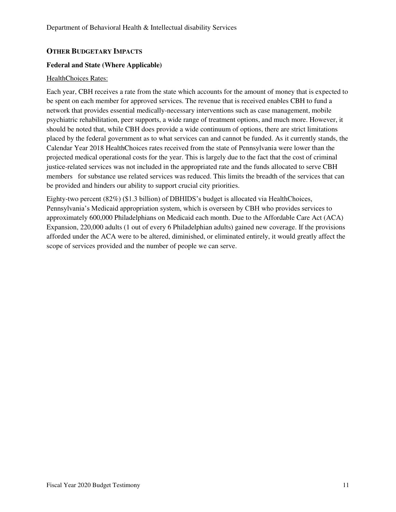# **OTHER BUDGETARY IMPACTS**

#### **Federal and State (Where Applicable)**

#### HealthChoices Rates:

Each year, CBH receives a rate from the state which accounts for the amount of money that is expected to be spent on each member for approved services. The revenue that is received enables CBH to fund a network that provides essential medically-necessary interventions such as case management, mobile psychiatric rehabilitation, peer supports, a wide range of treatment options, and much more. However, it should be noted that, while CBH does provide a wide continuum of options, there are strict limitations placed by the federal government as to what services can and cannot be funded. As it currently stands, the Calendar Year 2018 HealthChoices rates received from the state of Pennsylvania were lower than the projected medical operational costs for the year. This is largely due to the fact that the cost of criminal justice-related services was not included in the appropriated rate and the funds allocated to serve CBH members for substance use related services was reduced. This limits the breadth of the services that can be provided and hinders our ability to support crucial city priorities.

Eighty-two percent (82%) (\$1.3 billion) of DBHIDS's budget is allocated via HealthChoices, Pennsylvania's Medicaid appropriation system, which is overseen by CBH who provides services to approximately 600,000 Philadelphians on Medicaid each month. Due to the Affordable Care Act (ACA) Expansion, 220,000 adults (1 out of every 6 Philadelphian adults) gained new coverage. If the provisions afforded under the ACA were to be altered, diminished, or eliminated entirely, it would greatly affect the scope of services provided and the number of people we can serve.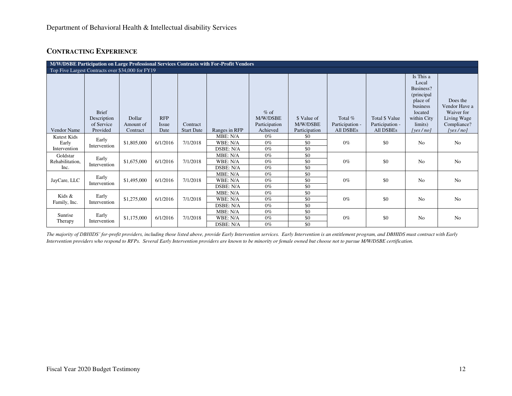# **CONTRACTING EXPERIENCE**

| M/W/DSBE Participation on Large Professional Services Contracts with For-Profit Vendors |                                                   |                       |                      |                               |                                   |                           |                           |                                     |                                     |                                                                                                  |                                                        |  |
|-----------------------------------------------------------------------------------------|---------------------------------------------------|-----------------------|----------------------|-------------------------------|-----------------------------------|---------------------------|---------------------------|-------------------------------------|-------------------------------------|--------------------------------------------------------------------------------------------------|--------------------------------------------------------|--|
|                                                                                         | Top Five Largest Contracts over \$34,000 for FY19 |                       |                      |                               |                                   |                           |                           |                                     |                                     |                                                                                                  |                                                        |  |
|                                                                                         | <b>Brief</b><br>Description                       | Dollar                | <b>RFP</b>           |                               |                                   | $%$ of<br>M/W/DSBE        | \$ Value of               | Total %                             | Total \$ Value                      | Is This a<br>Local<br>Business?<br>(principal)<br>place of<br>business<br>located<br>within City | Does the<br>Vendor Have a<br>Waiver for<br>Living Wage |  |
| <b>Vendor Name</b>                                                                      | of Service<br>Provided                            | Amount of<br>Contract | <i>Issue</i><br>Date | Contract<br><b>Start Date</b> | Ranges in RFP                     | Participation<br>Achieved | M/W/DSBE<br>Participation | Participation -<br><b>All DSBEs</b> | Participation -<br><b>All DSBEs</b> | limits)<br>[yes/no]                                                                              | Compliance?<br>[yes $/$ no]                            |  |
| Kutest Kids<br>Early<br>Intervention                                                    | Early<br>Intervention                             | \$1,805,000           | 6/1/2016             | 7/1/2018                      | MBE: N/A<br>WBE: N/A<br>DSBE: N/A | $0\%$<br>$0\%$<br>$0\%$   | \$0<br>\$0<br>\$0         | $0\%$                               | \$0                                 | <b>No</b>                                                                                        | No                                                     |  |
| Goldstar<br>Rehabilitation,<br>Inc.                                                     | Early<br>Intervention                             | \$1,675,000           | 6/1/2016             | 7/1/2018                      | MBE: N/A<br>WBE: N/A<br>DSBE: N/A | $0\%$<br>$0\%$<br>$0\%$   | \$0<br>\$0<br>\$0         | $0\%$                               | \$0                                 | N <sub>o</sub>                                                                                   | No                                                     |  |
| JayCare, LLC                                                                            | Early<br>Intervention                             | \$1,495,000           | 6/1/2016             | 7/1/2018                      | MBE: N/A<br>WBE: N/A<br>DSBE: N/A | $0\%$<br>$0\%$<br>$0\%$   | \$0<br>\$0<br>\$0         | $0\%$                               | \$0                                 | N <sub>o</sub>                                                                                   | N <sub>o</sub>                                         |  |
| Kids &<br>Family, Inc.                                                                  | Early<br>Intervention                             | \$1,275,000           | 6/1/2016             | 7/1/2018                      | MBE: N/A<br>WBE: N/A<br>DSBE: N/A | $0\%$<br>$0\%$<br>$0\%$   | \$0<br>\$0<br>\$0         | $0\%$                               | \$0                                 | N <sub>0</sub>                                                                                   | N <sub>o</sub>                                         |  |
| Sunrise<br>Therapy                                                                      | Early<br>Intervention                             | \$1,175,000           | 6/1/2016             | 7/1/2018                      | MBE: N/A<br>WBE: N/A<br>DSBE: N/A | $0\%$<br>$0\%$<br>$0\%$   | \$0<br>\$0<br>\$0         | $0\%$                               | \$0                                 | N <sub>o</sub>                                                                                   | N <sub>o</sub>                                         |  |

*The majority of DBHIDS' for-profit providers, including those listed above, provide Early Intervention services. Early Intervention is an entitlement program, and DBHIDS must contract with Early Intervention providers who respond to RFPs. Several Early Intervention providers are known to be minority or female owned but choose not to pursue M/W/DSBE certification.*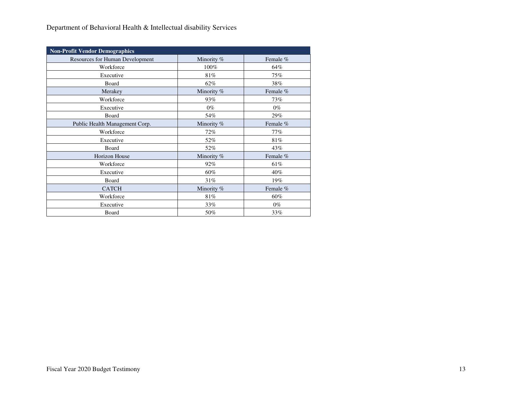| <b>Non-Profit Vendor Demographics</b>  |            |          |
|----------------------------------------|------------|----------|
| <b>Resources for Human Development</b> | Minority % | Female % |
| Workforce                              | 100%       | 64%      |
| Executive                              | 81%        | 75%      |
| Board                                  | 62%        | 38%      |
| Merakey                                | Minority % | Female % |
| Workforce                              | 93%        | 73%      |
| Executive                              | $0\%$      | $0\%$    |
| Board                                  | 54%        | 29%      |
| Public Health Management Corp.         | Minority % | Female % |
| Workforce                              | 72%        | 77%      |
| Executive                              | 52%        | 81%      |
| Board                                  | 52%        | 43%      |
| <b>Horizon House</b>                   | Minority % | Female % |
| Workforce                              | 92%        | 61%      |
| Executive                              | 60%        | $40\%$   |
| Board                                  | 31%        | 19%      |
| <b>CATCH</b>                           | Minority % | Female % |
| Workforce                              | 81%        | 60%      |
| Executive                              | 33%        | $0\%$    |
| Board                                  | 50%        | 33%      |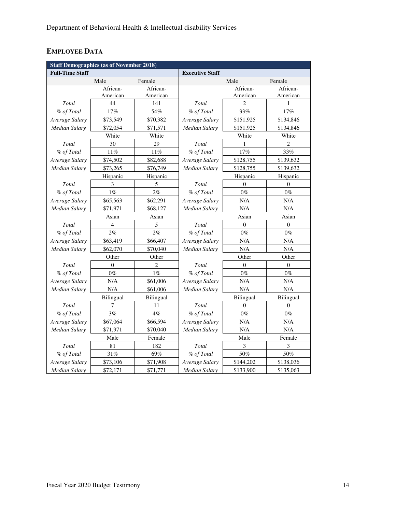# **EMPLOYEE DATA**

| <b>Staff Demographics (as of November 2018)</b> |                  |                  |                        |                  |                  |  |  |
|-------------------------------------------------|------------------|------------------|------------------------|------------------|------------------|--|--|
| <b>Full-Time Staff</b>                          |                  |                  | <b>Executive Staff</b> |                  |                  |  |  |
|                                                 | Male             | Female           |                        | Male             | Female           |  |  |
|                                                 | African-         | African-         |                        | African-         | African-         |  |  |
|                                                 | American         | American         |                        | American         | American         |  |  |
| Total                                           | 44               | 141              | Total                  | $\overline{2}$   | 1                |  |  |
| % of Total                                      | 17%              | 54%              | % of Total             | 33%              | 17%              |  |  |
| Average Salary                                  | \$73,549         | \$70,382         | Average Salary         | \$151,925        | \$134,846        |  |  |
| Median Salary                                   | \$72,054         | \$71,571         | Median Salary          | \$151,925        | \$134,846        |  |  |
|                                                 | White            | White            |                        | White            | White            |  |  |
| Total                                           | 30               | 29               | Total                  | 1                | $\overline{c}$   |  |  |
| % of Total                                      | 11%              | 11%              | % of Total             | 17%              | 33%              |  |  |
| Average Salary                                  | \$74,502         | \$82,688         | Average Salary         | \$128,755        | \$139,632        |  |  |
| <b>Median Salary</b>                            | \$73,265         | \$76,749         | Median Salary          | \$128,755        | \$139,632        |  |  |
|                                                 | Hispanic         | Hispanic         |                        | Hispanic         | Hispanic         |  |  |
| Total                                           | 3                | 5                | Total                  | $\theta$         | $\Omega$         |  |  |
| % of Total                                      | $1\%$            | $2\%$            | % of Total             | $0\%$            | $0\%$            |  |  |
| Average Salary                                  | \$65,563         | \$62,291         | Average Salary         | N/A              | N/A              |  |  |
| <b>Median Salary</b>                            | \$71,971         | \$68,127         | Median Salary          | N/A              | N/A              |  |  |
|                                                 | Asian            | Asian            |                        | Asian            | Asian            |  |  |
| Total                                           | 4                | 5                | Total                  | $\mathbf{0}$     | $\boldsymbol{0}$ |  |  |
| % of Total                                      | 2%               | 2%               | % of Total             | $0\%$            | $0\%$            |  |  |
| Average Salary                                  | \$63,419         | \$66,407         | Average Salary         | N/A              | N/A              |  |  |
| Median Salary                                   | \$62,070         | \$70,040         | Median Salary          | N/A              | N/A              |  |  |
|                                                 | Other            | Other            | Other<br>Other         |                  |                  |  |  |
| Total                                           | $\Omega$         | $\overline{c}$   | Total                  | $\theta$         | $\Omega$         |  |  |
| % of Total                                      | $0\%$            | $1\%$            | % of Total             | $0\%$            | $0\%$            |  |  |
| Average Salary                                  | N/A              | \$61,006         | Average Salary         | N/A              | N/A              |  |  |
| Median Salary                                   | N/A              | \$61,006         | Median Salary          | N/A              | N/A              |  |  |
|                                                 | <b>Bilingual</b> | <b>Bilingual</b> |                        | <b>Bilingual</b> | <b>Bilingual</b> |  |  |
| Total                                           | 7                | 11               | Total                  | $\mathbf{0}$     | $\boldsymbol{0}$ |  |  |
| % of Total                                      | 3%               | $4\%$            | % of Total             | $0\%$            | $0\%$            |  |  |
| Average Salary                                  | \$67,064         | \$66,594         | Average Salary         | N/A              | N/A              |  |  |
| <b>Median Salary</b>                            | \$71,971         | \$70,040         | Median Salary          | N/A              | N/A              |  |  |
|                                                 | Male             | Female           |                        | Male             | Female           |  |  |
| Total                                           | 81               | 182              | Total                  | 3                | 3                |  |  |
| % of Total                                      | 31%              | 69%              | % of Total             | 50%              | 50%              |  |  |
| Average Salary                                  | \$73,106         | \$71,908         | Average Salary         | \$144,202        | \$138,036        |  |  |
| Median Salary                                   | \$72,171         | \$71,771         | Median Salary          | \$133,900        | \$135,063        |  |  |